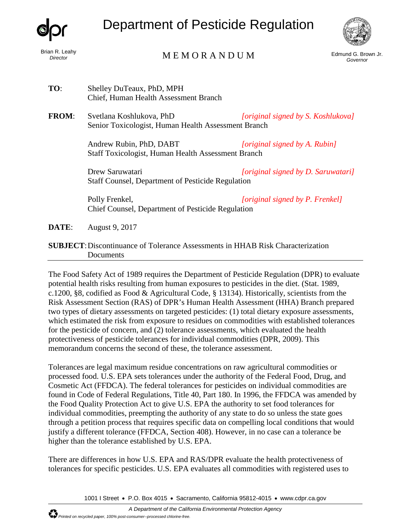

*Director* 

## Department of Pesticide Regulation



## Brian R. Leahy<br>Director

Edmund G. Brown Jr. *Governor* 

- **TO**: Shelley DuTeaux, PhD, MPH Chief, Human Health Assessment Branch
- **FROM**: Svetlana Koshlukova, PhD *[original signed by S. Koshlukova]* Senior Toxicologist, Human Health Assessment Branch

Andrew Rubin, PhD, DABT *[original signed by A. Rubin]*  Staff Toxicologist, Human Health Assessment Branch

Drew Saruwatari *[original signed by D. Saruwatari]*  Staff Counsel, Department of Pesticide Regulation

Polly Frenkel, *[original signed by P. Frenkel]*  Chief Counsel, Department of Pesticide Regulation

**DATE:** August 9, 2017

## **SUBJECT**:Discontinuance of Tolerance Assessments in HHAB Risk Characterization **Documents**

The Food Safety Act of 1989 requires the Department of Pesticide Regulation (DPR) to evaluate potential health risks resulting from human exposures to pesticides in the diet. (Stat. 1989, c.1200, §8, codified as Food & Agricultural Code, § 13134). Historically, scientists from the Risk Assessment Section (RAS) of DPR's Human Health Assessment (HHA) Branch prepared two types of dietary assessments on targeted pesticides: (1) total dietary exposure assessments, which estimated the risk from exposure to residues on commodities with established tolerances for the pesticide of concern, and (2) tolerance assessments, which evaluated the health protectiveness of pesticide tolerances for individual commodities (DPR, 2009). This memorandum concerns the second of these, the tolerance assessment.

Tolerances are legal maximum residue concentrations on raw agricultural commodities or processed food. U.S. EPA sets tolerances under the authority of the Federal Food, Drug, and Cosmetic Act (FFDCA). The federal tolerances for pesticides on individual commodities are found in Code of Federal Regulations, Title 40, Part 180. In 1996, the FFDCA was amended by the Food Quality Protection Act to give U.S. EPA the authority to set food tolerances for individual commodities, preempting the authority of any state to do so unless the state goes through a petition process that requires specific data on compelling local conditions that would justify a different tolerance (FFDCA, Section 408). However, in no case can a tolerance be higher than the tolerance established by U.S. EPA.

There are differences in how U.S. EPA and RAS/DPR evaluate the health protectiveness of tolerances for specific pesticides. U.S. EPA evaluates all commodities with registered uses to

1001 I Street • P.O. Box 4015 • Sacramento, California 95812-4015 • [www.cdpr.ca.gov](http://www.cdpr.ca.gov/)